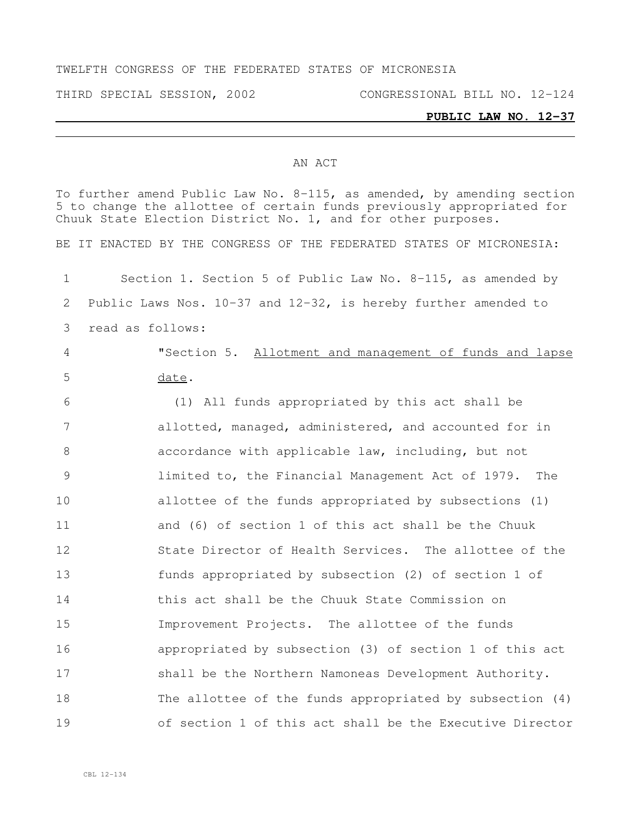#### TWELFTH CONGRESS OF THE FEDERATED STATES OF MICRONESIA

THIRD SPECIAL SESSION, 2002 CONGRESSIONAL BILL NO. 12-124

#### **PUBLIC LAW NO. 12-37**

#### AN ACT

To further amend Public Law No. 8-115, as amended, by amending section to change the allottee of certain funds previously appropriated for Chuuk State Election District No. 1, and for other purposes. BE IT ENACTED BY THE CONGRESS OF THE FEDERATED STATES OF MICRONESIA: Section 1. Section 5 of Public Law No. 8-115, as amended by Public Laws Nos. 10-37 and 12-32, is hereby further amended to read as follows: "Section 5. Allotment and management of funds and lapse date. (1) All funds appropriated by this act shall be allotted, managed, administered, and accounted for in accordance with applicable law, including, but not limited to, the Financial Management Act of 1979. The allottee of the funds appropriated by subsections (1) and (6) of section 1 of this act shall be the Chuuk State Director of Health Services. The allottee of the funds appropriated by subsection (2) of section 1 of this act shall be the Chuuk State Commission on Improvement Projects. The allottee of the funds appropriated by subsection (3) of section 1 of this act 17 shall be the Northern Namoneas Development Authority. The allottee of the funds appropriated by subsection (4) of section 1 of this act shall be the Executive Director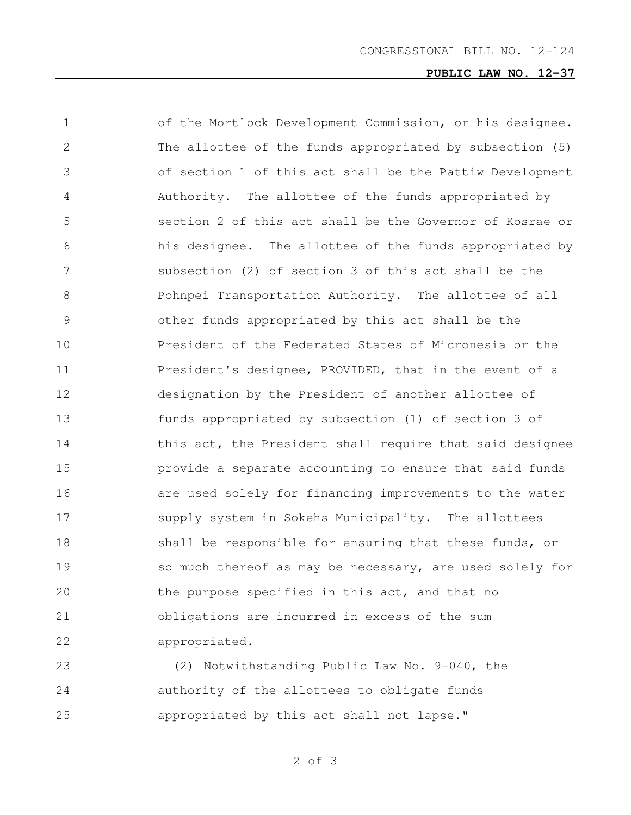# **PUBLIC LAW NO. 12-37**

| 1  | of the Mortlock Development Commission, or his designee. |
|----|----------------------------------------------------------|
| 2  | The allottee of the funds appropriated by subsection (5) |
| 3  | of section 1 of this act shall be the Pattiw Development |
| 4  | Authority. The allottee of the funds appropriated by     |
| 5  | section 2 of this act shall be the Governor of Kosrae or |
| 6  | his designee. The allottee of the funds appropriated by  |
| 7  | subsection (2) of section 3 of this act shall be the     |
| 8  | Pohnpei Transportation Authority. The allottee of all    |
| 9  | other funds appropriated by this act shall be the        |
| 10 | President of the Federated States of Micronesia or the   |
| 11 | President's designee, PROVIDED, that in the event of a   |
| 12 | designation by the President of another allottee of      |
| 13 | funds appropriated by subsection (1) of section 3 of     |
| 14 | this act, the President shall require that said designee |
| 15 | provide a separate accounting to ensure that said funds  |
| 16 | are used solely for financing improvements to the water  |
| 17 | supply system in Sokehs Municipality. The allottees      |
| 18 | shall be responsible for ensuring that these funds, or   |
| 19 | so much thereof as may be necessary, are used solely for |
| 20 | the purpose specified in this act, and that no           |
| 21 | obligations are incurred in excess of the sum            |
| 22 | appropriated.                                            |

 (2) Notwithstanding Public Law No. 9-040, the authority of the allottees to obligate funds appropriated by this act shall not lapse."

of 3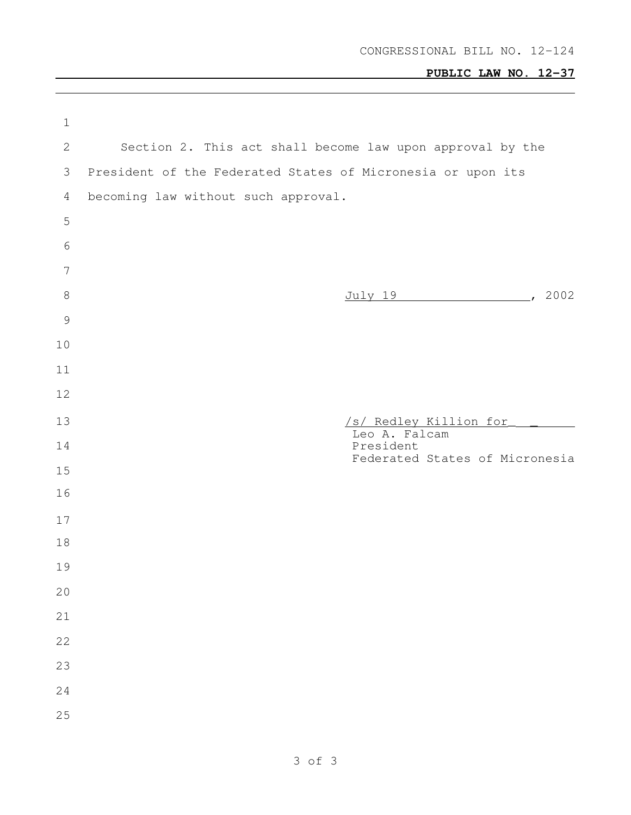# **PUBLIC LAW NO. 12-37**

 $\mathcal{L}^{\text{max}}_{\text{max}}$ 

| $\mathbf 1$    |                                                             |
|----------------|-------------------------------------------------------------|
| 2              | Section 2. This act shall become law upon approval by the   |
| 3              | President of the Federated States of Micronesia or upon its |
| $\overline{4}$ | becoming law without such approval.                         |
| 5              |                                                             |
| 6              |                                                             |
| $\overline{7}$ |                                                             |
| $8\,$          | July 19 (2002)                                              |
| $\mathcal{G}$  |                                                             |
| $10$           |                                                             |
| 11             |                                                             |
| 12             |                                                             |
| 13             | /s/ Redley Killion for<br>Leo A. Falcam                     |
| 14             | President<br>Federated States of Micronesia                 |
| 15             |                                                             |
| 16             |                                                             |
| 17             |                                                             |
| 18             |                                                             |
| 19             |                                                             |
| 20             |                                                             |
| 21             |                                                             |
| 22             |                                                             |
| 23             |                                                             |
| 24             |                                                             |
| 25             |                                                             |